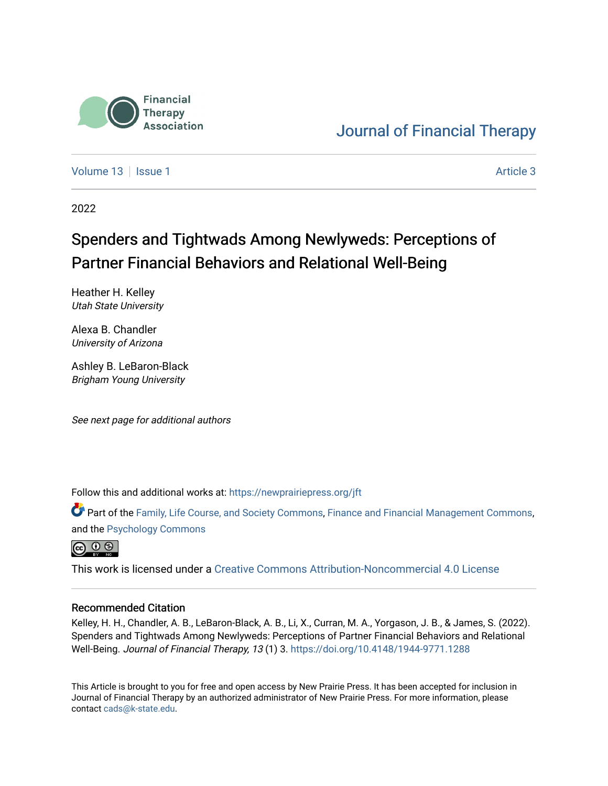

# [Journal of Financial Therapy](https://newprairiepress.org/jft)

[Volume 13](https://newprairiepress.org/jft/vol13) | [Issue 1](https://newprairiepress.org/jft/vol13/iss1) [Article 3](https://newprairiepress.org/jft/vol13/iss1/3) | Article 3 | Article 3 | Article 3 | Article 3 | Article 3 | Article 3 | Article 3 | Article 3 | Article 3 | Article 3 | Article 3 | Article 3 | Article 3 | Article 3 | Article 3 | Article 3

2022

# Spenders and Tightwads Among Newlyweds: Perceptions of Partner Financial Behaviors and Relational Well-Being

Heather H. Kelley Utah State University

Alexa B. Chandler University of Arizona

Ashley B. LeBaron-Black Brigham Young University

See next page for additional authors

Follow this and additional works at: [https://newprairiepress.org/jft](https://newprairiepress.org/jft?utm_source=newprairiepress.org%2Fjft%2Fvol13%2Fiss1%2F3&utm_medium=PDF&utm_campaign=PDFCoverPages)

Part of the [Family, Life Course, and Society Commons,](https://network.bepress.com/hgg/discipline/419?utm_source=newprairiepress.org%2Fjft%2Fvol13%2Fiss1%2F3&utm_medium=PDF&utm_campaign=PDFCoverPages) [Finance and Financial Management Commons](https://network.bepress.com/hgg/discipline/631?utm_source=newprairiepress.org%2Fjft%2Fvol13%2Fiss1%2F3&utm_medium=PDF&utm_campaign=PDFCoverPages), and the [Psychology Commons](https://network.bepress.com/hgg/discipline/404?utm_source=newprairiepress.org%2Fjft%2Fvol13%2Fiss1%2F3&utm_medium=PDF&utm_campaign=PDFCoverPages)



This work is licensed under a [Creative Commons Attribution-Noncommercial 4.0 License](https://creativecommons.org/licenses/by-nc/4.0/)

#### Recommended Citation

Kelley, H. H., Chandler, A. B., LeBaron-Black, A. B., Li, X., Curran, M. A., Yorgason, J. B., & James, S. (2022). Spenders and Tightwads Among Newlyweds: Perceptions of Partner Financial Behaviors and Relational Well-Being. Journal of Financial Therapy, 13 (1) 3. <https://doi.org/10.4148/1944-9771.1288>

This Article is brought to you for free and open access by New Prairie Press. It has been accepted for inclusion in Journal of Financial Therapy by an authorized administrator of New Prairie Press. For more information, please contact [cads@k-state.edu](mailto:cads@k-state.edu).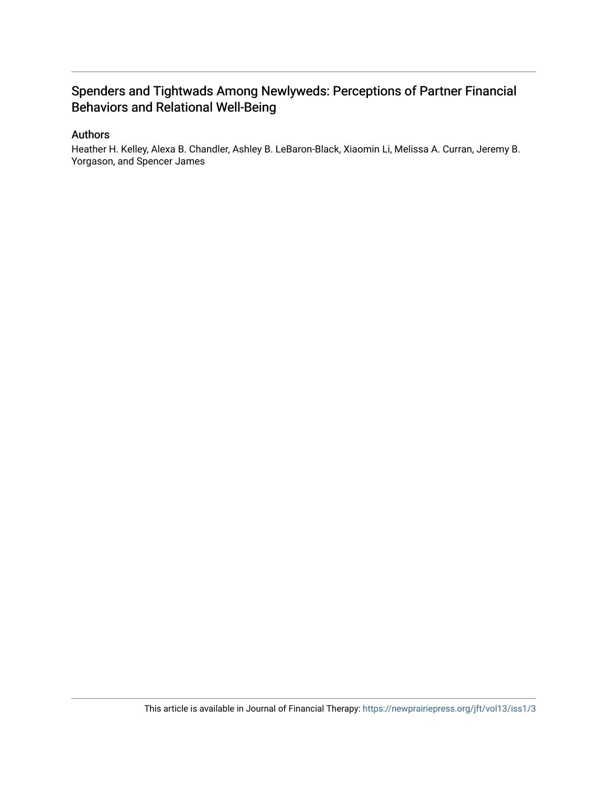# Spenders and Tightwads Among Newlyweds: Perceptions of Partner Financial Behaviors and Relational Well-Being

#### Authors

Heather H. Kelley, Alexa B. Chandler, Ashley B. LeBaron-Black, Xiaomin Li, Melissa A. Curran, Jeremy B. Yorgason, and Spencer James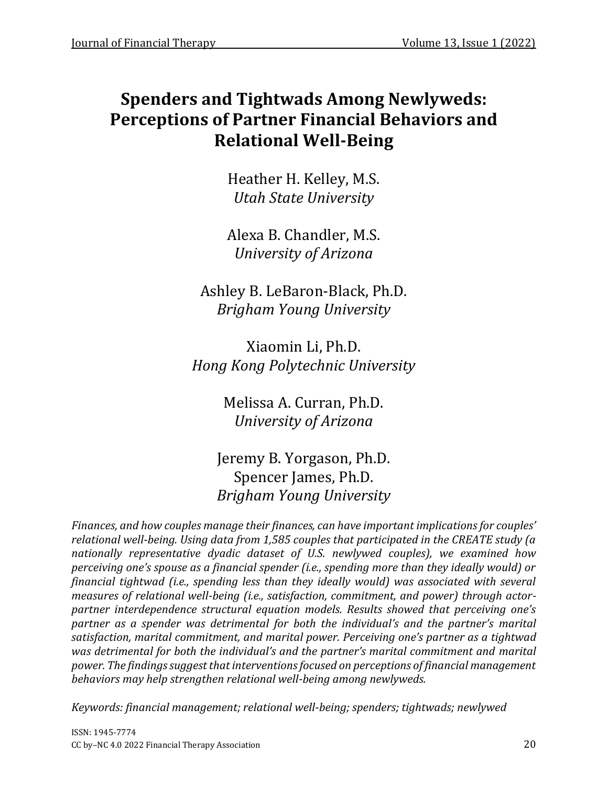# **Spenders and Tightwads Among Newlyweds: Perceptions of Partner Financial Behaviors and Relational Well-Being**

Heather H. Kelley, M.S. *Utah State University*

Alexa B. Chandler, M.S. *University of Arizona*

Ashley B. LeBaron-Black, Ph.D. *Brigham Young University*

Xiaomin Li, Ph.D. *Hong Kong Polytechnic University*

> Melissa A. Curran, Ph.D. *University of Arizona*

Jeremy B. Yorgason, Ph.D. Spencer James, Ph.D. *Brigham Young University*

*Finances, and how couples manage their finances, can have important implications for couples' relational well-being. Using data from 1,585 couples that participated in the CREATE study (a nationally representative dyadic dataset of U.S. newlywed couples), we examined how perceiving one's spouse as a financial spender (i.e., spending more than they ideally would) or financial tightwad (i.e., spending less than they ideally would) was associated with several measures of relational well-being (i.e., satisfaction, commitment, and power) through actorpartner interdependence structural equation models. Results showed that perceiving one's partner as a spender was detrimental for both the individual's and the partner's marital satisfaction, marital commitment, and marital power. Perceiving one's partner as a tightwad was detrimental for both the individual's and the partner's marital commitment and marital power. The findings suggest that interventions focused on perceptions of financial management behaviors may help strengthen relational well-being among newlyweds.* 

*Keywords: financial management; relational well-being; spenders; tightwads; newlywed*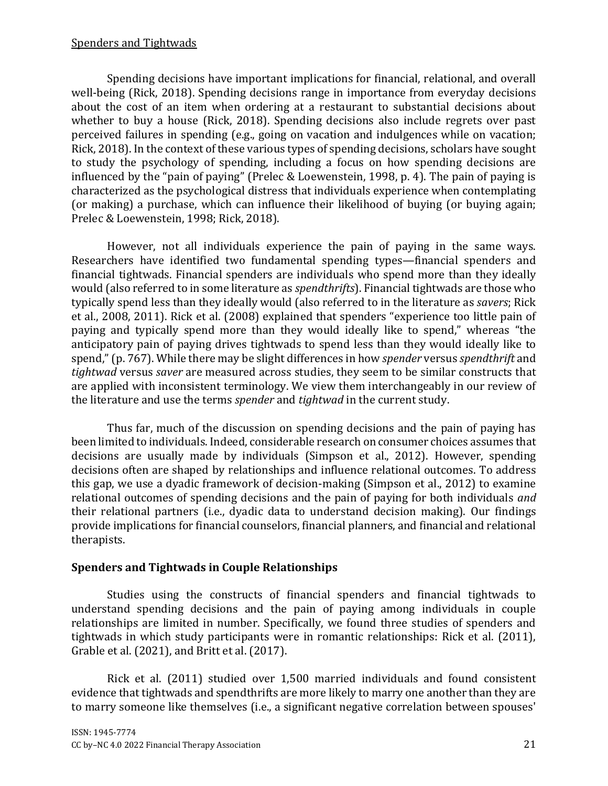Spending decisions have important implications for financial, relational, and overall well-being (Rick, 2018). Spending decisions range in importance from everyday decisions about the cost of an item when ordering at a restaurant to substantial decisions about whether to buy a house (Rick, 2018). Spending decisions also include regrets over past perceived failures in spending (e.g., going on vacation and indulgences while on vacation; Rick, 2018). In the context of these various types of spending decisions, scholars have sought to study the psychology of spending, including a focus on how spending decisions are influenced by the "pain of paying" (Prelec & Loewenstein, 1998, p. 4). The pain of paying is characterized as the psychological distress that individuals experience when contemplating (or making) a purchase, which can influence their likelihood of buying (or buying again; Prelec & Loewenstein, 1998; Rick, 2018).

However, not all individuals experience the pain of paying in the same ways. Researchers have identified two fundamental spending types—financial spenders and financial tightwads. Financial spenders are individuals who spend more than they ideally would (also referred to in some literature as *spendthrifts*). Financial tightwads are those who typically spend less than they ideally would (also referred to in the literature as *savers*; Rick et al., 2008, 2011). Rick et al. (2008) explained that spenders "experience too little pain of paying and typically spend more than they would ideally like to spend," whereas "the anticipatory pain of paying drives tightwads to spend less than they would ideally like to spend," (p. 767). While there may be slight differences in how *spender* versus *spendthrift* and *tightwad* versus *saver* are measured across studies, they seem to be similar constructs that are applied with inconsistent terminology. We view them interchangeably in our review of the literature and use the terms *spender* and *tightwad* in the current study.

Thus far, much of the discussion on spending decisions and the pain of paying has been limited to individuals. Indeed, considerable research on consumer choices assumes that decisions are usually made by individuals (Simpson et al., 2012). However, spending decisions often are shaped by relationships and influence relational outcomes. To address this gap, we use a dyadic framework of decision-making (Simpson et al., 2012) to examine relational outcomes of spending decisions and the pain of paying for both individuals *and* their relational partners (i.e., dyadic data to understand decision making). Our findings provide implications for financial counselors, financial planners, and financial and relational therapists.

## **Spenders and Tightwads in Couple Relationships**

Studies using the constructs of financial spenders and financial tightwads to understand spending decisions and the pain of paying among individuals in couple relationships are limited in number. Specifically, we found three studies of spenders and tightwads in which study participants were in romantic relationships: Rick et al. (2011), Grable et al. (2021), and Britt et al. (2017).

Rick et al. (2011) studied over 1,500 married individuals and found consistent evidence that tightwads and spendthrifts are more likely to marry one another than they are to marry someone like themselves (i.e., a significant negative correlation between spouses'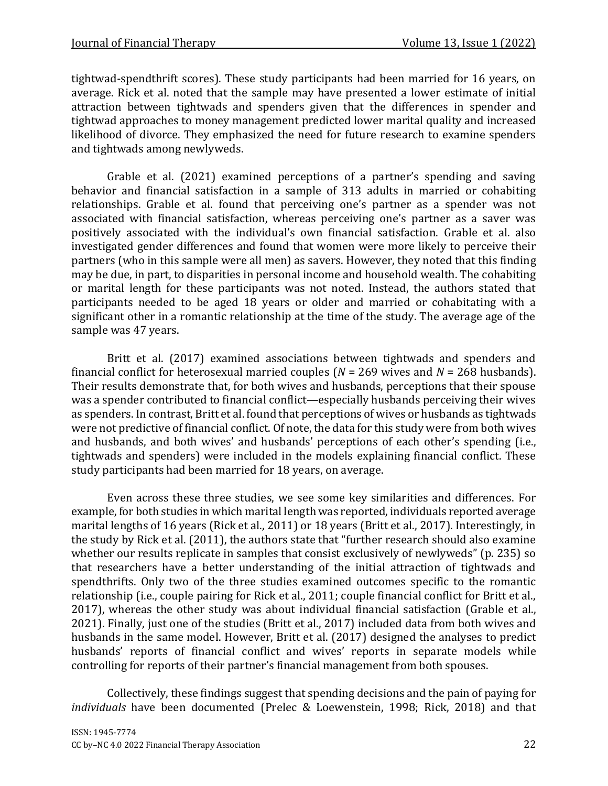tightwad-spendthrift scores). These study participants had been married for 16 years, on average. Rick et al. noted that the sample may have presented a lower estimate of initial attraction between tightwads and spenders given that the differences in spender and tightwad approaches to money management predicted lower marital quality and increased likelihood of divorce. They emphasized the need for future research to examine spenders and tightwads among newlyweds.

Grable et al. (2021) examined perceptions of a partner's spending and saving behavior and financial satisfaction in a sample of 313 adults in married or cohabiting relationships. Grable et al. found that perceiving one's partner as a spender was not associated with financial satisfaction, whereas perceiving one's partner as a saver was positively associated with the individual's own financial satisfaction. Grable et al. also investigated gender differences and found that women were more likely to perceive their partners (who in this sample were all men) as savers. However, they noted that this finding may be due, in part, to disparities in personal income and household wealth. The cohabiting or marital length for these participants was not noted. Instead, the authors stated that participants needed to be aged 18 years or older and married or cohabitating with a significant other in a romantic relationship at the time of the study. The average age of the sample was 47 years.

Britt et al. (2017) examined associations between tightwads and spenders and financial conflict for heterosexual married couples ( $N = 269$  wives and  $N = 268$  husbands). Their results demonstrate that, for both wives and husbands, perceptions that their spouse was a spender contributed to financial conflict—especially husbands perceiving their wives as spenders. In contrast, Britt et al. found that perceptions of wives or husbands as tightwads were not predictive of financial conflict. Of note, the data for this study were from both wives and husbands, and both wives' and husbands' perceptions of each other's spending (i.e., tightwads and spenders) were included in the models explaining financial conflict. These study participants had been married for 18 years, on average.

Even across these three studies, we see some key similarities and differences. For example, for both studies in which marital length was reported, individuals reported average marital lengths of 16 years (Rick et al., 2011) or 18 years (Britt et al., 2017). Interestingly, in the study by Rick et al. (2011), the authors state that "further research should also examine whether our results replicate in samples that consist exclusively of newlyweds" (p. 235) so that researchers have a better understanding of the initial attraction of tightwads and spendthrifts. Only two of the three studies examined outcomes specific to the romantic relationship (i.e., couple pairing for Rick et al., 2011; couple financial conflict for Britt et al., 2017), whereas the other study was about individual financial satisfaction (Grable et al., 2021). Finally, just one of the studies (Britt et al., 2017) included data from both wives and husbands in the same model. However, Britt et al. (2017) designed the analyses to predict husbands' reports of financial conflict and wives' reports in separate models while controlling for reports of their partner's financial management from both spouses.

Collectively, these findings suggest that spending decisions and the pain of paying for *individuals* have been documented (Prelec & Loewenstein, 1998; Rick, 2018) and that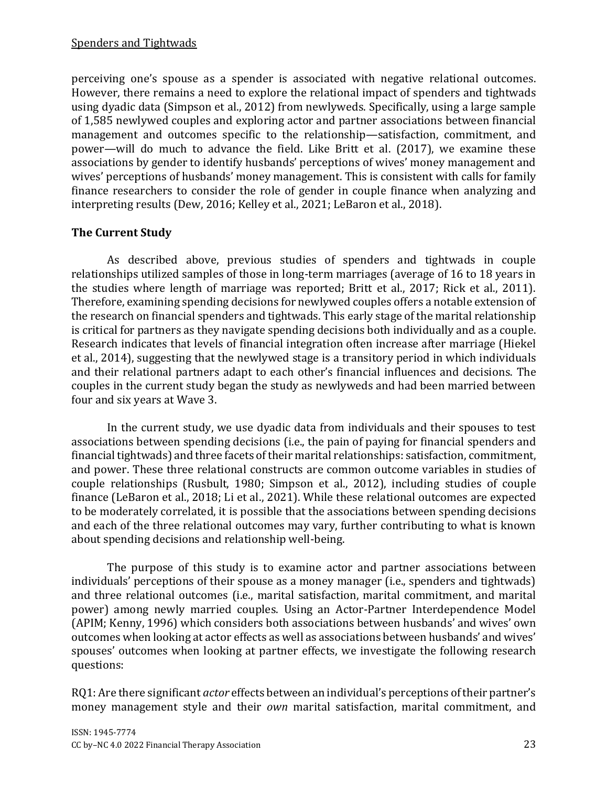perceiving one's spouse as a spender is associated with negative relational outcomes. However, there remains a need to explore the relational impact of spenders and tightwads using dyadic data (Simpson et al., 2012) from newlyweds. Specifically, using a large sample of 1,585 newlywed couples and exploring actor and partner associations between financial management and outcomes specific to the relationship—satisfaction, commitment, and power—will do much to advance the field. Like Britt et al. (2017), we examine these associations by gender to identify husbands' perceptions of wives' money management and wives' perceptions of husbands' money management. This is consistent with calls for family finance researchers to consider the role of gender in couple finance when analyzing and interpreting results (Dew, 2016; Kelley et al., 2021; LeBaron et al., 2018).

# **The Current Study**

As described above, previous studies of spenders and tightwads in couple relationships utilized samples of those in long-term marriages (average of 16 to 18 years in the studies where length of marriage was reported; Britt et al., 2017; Rick et al., 2011). Therefore, examining spending decisions for newlywed couples offers a notable extension of the research on financial spenders and tightwads. This early stage of the marital relationship is critical for partners as they navigate spending decisions both individually and as a couple. Research indicates that levels of financial integration often increase after marriage (Hiekel et al., 2014), suggesting that the newlywed stage is a transitory period in which individuals and their relational partners adapt to each other's financial influences and decisions. The couples in the current study began the study as newlyweds and had been married between four and six years at Wave 3.

In the current study, we use dyadic data from individuals and their spouses to test associations between spending decisions (i.e., the pain of paying for financial spenders and financial tightwads) and three facets of their marital relationships: satisfaction, commitment, and power. These three relational constructs are common outcome variables in studies of couple relationships (Rusbult, 1980; Simpson et al., 2012), including studies of couple finance (LeBaron et al., 2018; Li et al., 2021). While these relational outcomes are expected to be moderately correlated, it is possible that the associations between spending decisions and each of the three relational outcomes may vary, further contributing to what is known about spending decisions and relationship well-being.

The purpose of this study is to examine actor and partner associations between individuals' perceptions of their spouse as a money manager (i.e., spenders and tightwads) and three relational outcomes (i.e., marital satisfaction, marital commitment, and marital power) among newly married couples. Using an Actor-Partner Interdependence Model (APIM; Kenny, 1996) which considers both associations between husbands' and wives' own outcomes when looking at actor effects as well as associations between husbands' and wives' spouses' outcomes when looking at partner effects, we investigate the following research questions:

RQ1: Are there significant *actor* effects between an individual's perceptions of their partner's money management style and their *own* marital satisfaction, marital commitment, and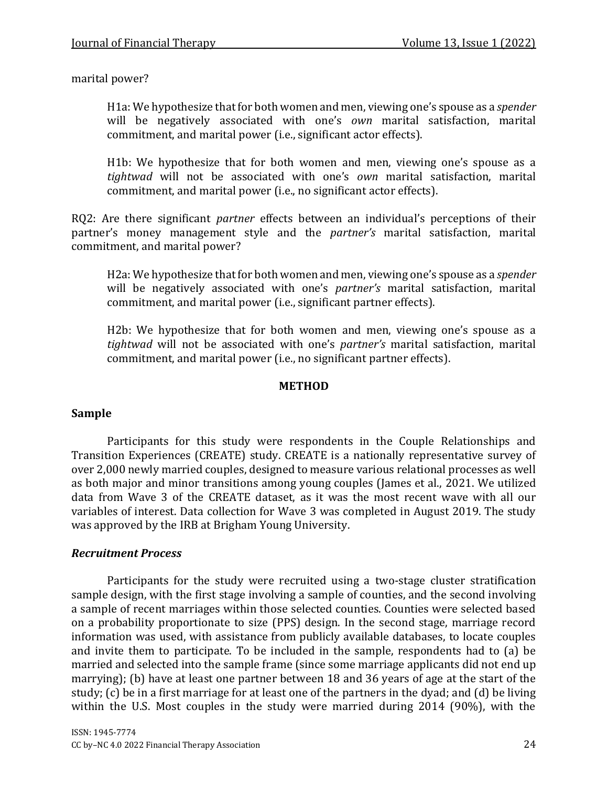marital power?

H1a: We hypothesize that for both women and men, viewing one's spouse as a *spender* will be negatively associated with one's *own* marital satisfaction, marital commitment, and marital power (i.e., significant actor effects).

H1b: We hypothesize that for both women and men, viewing one's spouse as a *tightwad* will not be associated with one's *own* marital satisfaction, marital commitment, and marital power (i.e., no significant actor effects).

RQ2: Are there significant *partner* effects between an individual's perceptions of their partner's money management style and the *partner's* marital satisfaction, marital commitment, and marital power?

H2a: We hypothesize that for both women and men, viewing one's spouse as a *spender* will be negatively associated with one's *partner's* marital satisfaction, marital commitment, and marital power (i.e., significant partner effects).

H2b: We hypothesize that for both women and men, viewing one's spouse as a *tightwad* will not be associated with one's *partner's* marital satisfaction, marital commitment, and marital power (i.e., no significant partner effects).

#### **METHOD**

#### **Sample**

Participants for this study were respondents in the Couple Relationships and Transition Experiences (CREATE) study. CREATE is a nationally representative survey of over 2,000 newly married couples, designed to measure various relational processes as well as both major and minor transitions among young couples (James et al., 2021. We utilized data from Wave 3 of the CREATE dataset, as it was the most recent wave with all our variables of interest. Data collection for Wave 3 was completed in August 2019. The study was approved by the IRB at Brigham Young University.

#### *Recruitment Process*

Participants for the study were recruited using a two-stage cluster stratification sample design, with the first stage involving a sample of counties, and the second involving a sample of recent marriages within those selected counties. Counties were selected based on a probability proportionate to size (PPS) design. In the second stage, marriage record information was used, with assistance from publicly available databases, to locate couples and invite them to participate. To be included in the sample, respondents had to (a) be married and selected into the sample frame (since some marriage applicants did not end up marrying); (b) have at least one partner between 18 and 36 years of age at the start of the study; (c) be in a first marriage for at least one of the partners in the dyad; and (d) be living within the U.S. Most couples in the study were married during 2014 (90%), with the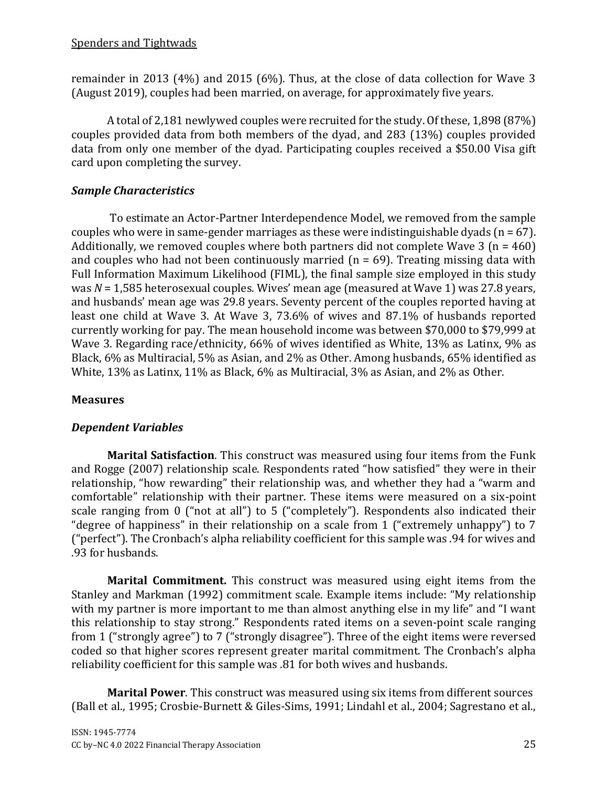remainder in 2013 (4%) and 2015 (6%). Thus, at the close of data collection for Wave 3 (August 2019), couples had been married, on average, for approximately five years.

A total of 2,181 newlywed couples were recruited for the study. Of these, 1,898 (87%) couples provided data from both members of the dyad, and 283 (13%) couples provided data from only one member of the dyad. Participating couples received a \$50.00 Visa gift card upon completing the survey.

# *Sample Characteristics*

To estimate an Actor-Partner Interdependence Model, we removed from the sample couples who were in same-gender marriages as these were indistinguishable dyads ( $n = 67$ ). Additionally, we removed couples where both partners did not complete Wave  $3 (n = 460)$ and couples who had not been continuously married ( $n = 69$ ). Treating missing data with Full Information Maximum Likelihood (FIML), the final sample size employed in this study was *N* = 1,585 heterosexual couples. Wives' mean age (measured at Wave 1) was 27.8 years, and husbands' mean age was 29.8 years. Seventy percent of the couples reported having at least one child at Wave 3. At Wave 3, 73.6% of wives and 87.1% of husbands reported currently working for pay. The mean household income was between \$70,000 to \$79,999 at Wave 3. Regarding race/ethnicity, 66% of wives identified as White, 13% as Latinx, 9% as Black, 6% as Multiracial, 5% as Asian, and 2% as Other. Among husbands, 65% identified as White, 13% as Latinx, 11% as Black, 6% as Multiracial, 3% as Asian, and 2% as Other.

## **Measures**

# *Dependent Variables*

**Marital Satisfaction**. This construct was measured using four items from the Funk and Rogge (2007) relationship scale. Respondents rated "how satisfied" they were in their relationship, "how rewarding" their relationship was, and whether they had a "warm and comfortable" relationship with their partner. These items were measured on a six-point scale ranging from 0 ("not at all") to 5 ("completely"). Respondents also indicated their "degree of happiness" in their relationship on a scale from 1 ("extremely unhappy") to 7 ("perfect"). The Cronbach's alpha reliability coefficient for this sample was .94 for wives and .93 for husbands.

**Marital Commitment.** This construct was measured using eight items from the Stanley and Markman (1992) commitment scale. Example items include: "My relationship with my partner is more important to me than almost anything else in my life" and "I want this relationship to stay strong." Respondents rated items on a seven-point scale ranging from 1 ("strongly agree") to 7 ("strongly disagree"). Three of the eight items were reversed coded so that higher scores represent greater marital commitment. The Cronbach's alpha reliability coefficient for this sample was .81 for both wives and husbands.

**Marital Power**. This construct was measured using six items from different sources (Ball et al., 1995; Crosbie-Burnett & Giles-Sims, 1991; Lindahl et al., 2004; Sagrestano et al.,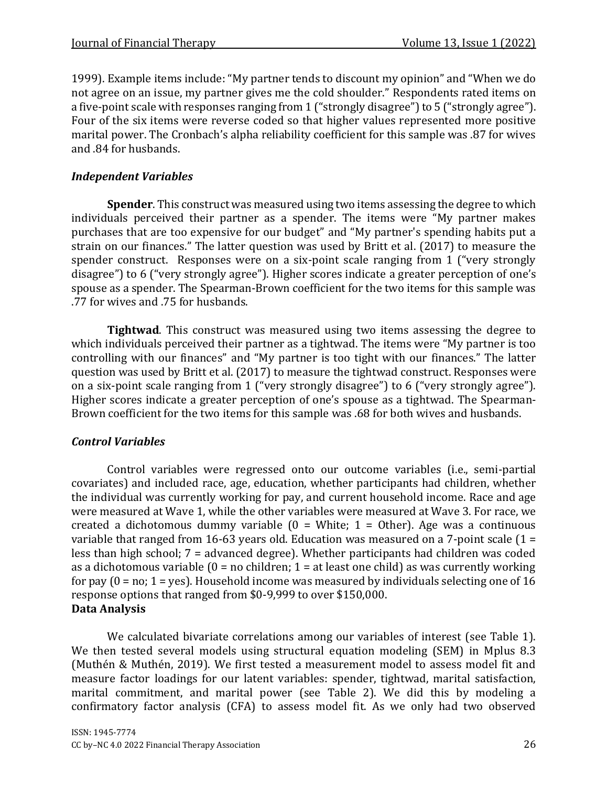1999). Example items include: "My partner tends to discount my opinion" and "When we do not agree on an issue, my partner gives me the cold shoulder." Respondents rated items on a five-point scale with responses ranging from 1 ("strongly disagree") to 5 ("strongly agree"). Four of the six items were reverse coded so that higher values represented more positive marital power. The Cronbach's alpha reliability coefficient for this sample was .87 for wives and .84 for husbands.

## *Independent Variables*

**Spender**. This construct was measured using two items assessing the degree to which individuals perceived their partner as a spender. The items were "My partner makes purchases that are too expensive for our budget" and "My partner's spending habits put a strain on our finances." The latter question was used by Britt et al. (2017) to measure the spender construct. Responses were on a six-point scale ranging from 1 ("very strongly disagree") to 6 ("very strongly agree"). Higher scores indicate a greater perception of one's spouse as a spender. The Spearman-Brown coefficient for the two items for this sample was .77 for wives and .75 for husbands.

**Tightwad**. This construct was measured using two items assessing the degree to which individuals perceived their partner as a tightwad. The items were "My partner is too controlling with our finances" and "My partner is too tight with our finances." The latter question was used by Britt et al. (2017) to measure the tightwad construct. Responses were on a six-point scale ranging from 1 ("very strongly disagree") to 6 ("very strongly agree"). Higher scores indicate a greater perception of one's spouse as a tightwad. The Spearman-Brown coefficient for the two items for this sample was .68 for both wives and husbands.

## *Control Variables*

Control variables were regressed onto our outcome variables (i.e., semi-partial covariates) and included race, age, education, whether participants had children, whether the individual was currently working for pay, and current household income. Race and age were measured at Wave 1, while the other variables were measured at Wave 3. For race, we created a dichotomous dummy variable  $(0 = White; 1 = Other)$ . Age was a continuous variable that ranged from 16-63 years old. Education was measured on a 7-point scale (1 = less than high school; 7 = advanced degree). Whether participants had children was coded as a dichotomous variable  $(0 = no$  children;  $1 = at$  least one child) as was currently working for pay  $(0 = no; 1 = yes)$ . Household income was measured by individuals selecting one of 16 response options that ranged from \$0-9,999 to over \$150,000. **Data Analysis** 

We calculated bivariate correlations among our variables of interest (see Table 1). We then tested several models using structural equation modeling (SEM) in Mplus 8.3 (Muthén & Muthén, 2019). We first tested a measurement model to assess model fit and measure factor loadings for our latent variables: spender, tightwad, marital satisfaction, marital commitment, and marital power (see Table 2). We did this by modeling a confirmatory factor analysis (CFA) to assess model fit. As we only had two observed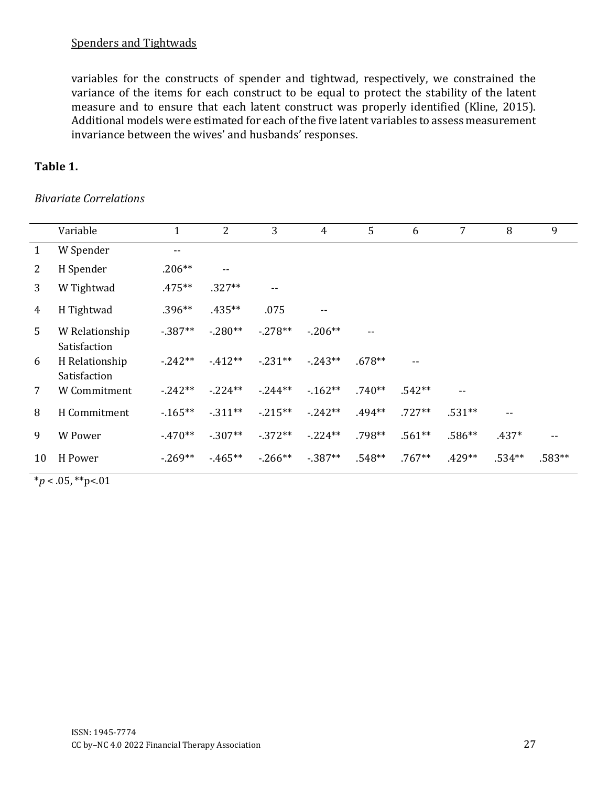variables for the constructs of spender and tightwad, respectively, we constrained the variance of the items for each construct to be equal to protect the stability of the latent measure and to ensure that each latent construct was properly identified (Kline, 2015). Additional models were estimated for each of the five latent variables to assess measurement invariance between the wives' and husbands' responses.

## **Table 1.**

#### *Bivariate Correlations*

|    | Variable                       | $\mathbf 1$ | $\overline{2}$           | 3          | $\overline{4}$ | 5        | 6        | 7        | 8             | 9      |
|----|--------------------------------|-------------|--------------------------|------------|----------------|----------|----------|----------|---------------|--------|
| 1  | W Spender                      | $- -$       |                          |            |                |          |          |          |               |        |
| 2  | H Spender                      | $.206**$    | $\overline{\phantom{a}}$ |            |                |          |          |          |               |        |
| 3  | W Tightwad                     | .475**      | $.327**$                 | --         |                |          |          |          |               |        |
| 4  | H Tightwad                     | $.396**$    | .435**                   | .075       | --             |          |          |          |               |        |
| 5  | W Relationship<br>Satisfaction | $-0.387**$  | $-0.280**$               | $-0.278**$ | $-0.206**$     | --       |          |          |               |        |
| 6  | H Relationship<br>Satisfaction | $-242**$    | $-412**$                 | $-231**$   | $-0.243**$     | $.678**$ |          |          |               |        |
| 7  | W Commitment                   | $-0.242**$  | $-224**$                 | $-0.244**$ | $-162**$       | $.740**$ | $.542**$ | $- -$    |               |        |
| 8  | H Commitment                   | $-165**$    | $-311**$                 | $-0.215**$ | $-0.242**$     | $.494**$ | $.727**$ | $.531**$ | $\sim$ $\sim$ |        |
| 9  | W Power                        | $-470**$    | $-307**$                 | $-372**$   | $-224**$       | $.798**$ | $.561**$ | $.586**$ | $.437*$       | $- -$  |
| 10 | H Power                        | $-269**$    | $-465**$                 | $-0.266**$ | $-387**$       | $.548**$ | $.767**$ | $.429**$ | $.534**$      | .583** |

 $*_{p}$  < .05, \*\*p<.01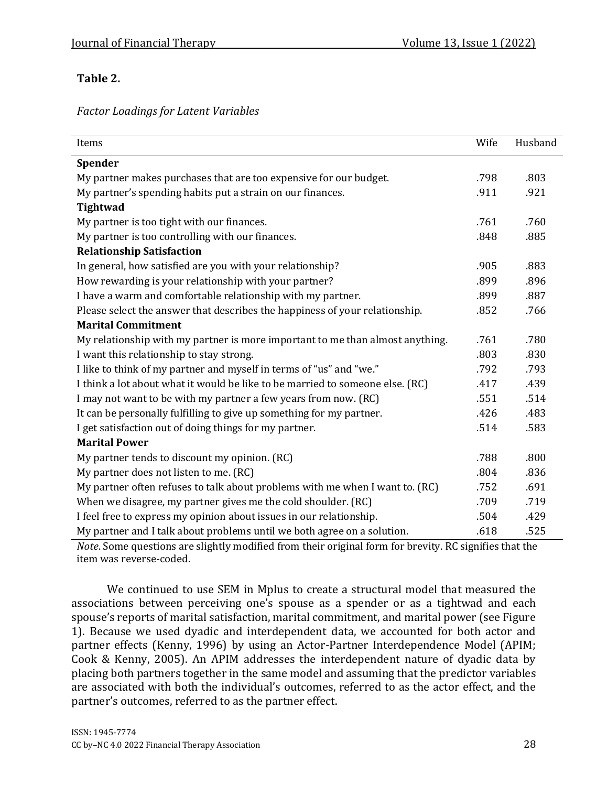# **Table 2.**

*Factor Loadings for Latent Variables*

| Items                                                                         | Wife | Husband |
|-------------------------------------------------------------------------------|------|---------|
| <b>Spender</b>                                                                |      |         |
| My partner makes purchases that are too expensive for our budget.             | .798 | .803    |
| My partner's spending habits put a strain on our finances.                    | .911 | .921    |
| <b>Tightwad</b>                                                               |      |         |
| My partner is too tight with our finances.                                    | .761 | .760    |
| My partner is too controlling with our finances.                              | .848 | .885    |
| <b>Relationship Satisfaction</b>                                              |      |         |
| In general, how satisfied are you with your relationship?                     | .905 | .883    |
| How rewarding is your relationship with your partner?                         | .899 | .896    |
| I have a warm and comfortable relationship with my partner.                   | .899 | .887    |
| Please select the answer that describes the happiness of your relationship.   | .852 | .766    |
| <b>Marital Commitment</b>                                                     |      |         |
| My relationship with my partner is more important to me than almost anything. | .761 | .780    |
| I want this relationship to stay strong.                                      | .803 | .830    |
| I like to think of my partner and myself in terms of "us" and "we."           | .792 | .793    |
| I think a lot about what it would be like to be married to someone else. (RC) | .417 | .439    |
| I may not want to be with my partner a few years from now. (RC)               | .551 | .514    |
| It can be personally fulfilling to give up something for my partner.          | .426 | .483    |
| I get satisfaction out of doing things for my partner.                        | .514 | .583    |
| <b>Marital Power</b>                                                          |      |         |
| My partner tends to discount my opinion. (RC)                                 | .788 | .800    |
| My partner does not listen to me. (RC)                                        | .804 | .836    |
| My partner often refuses to talk about problems with me when I want to. (RC)  | .752 | .691    |
| When we disagree, my partner gives me the cold shoulder. (RC)                 | .709 | .719    |
| I feel free to express my opinion about issues in our relationship.           | .504 | .429    |
| My partner and I talk about problems until we both agree on a solution.       | .618 | .525    |

*Note*. Some questions are slightly modified from their original form for brevity. RC signifies that the item was reverse-coded.

We continued to use SEM in Mplus to create a structural model that measured the associations between perceiving one's spouse as a spender or as a tightwad and each spouse's reports of marital satisfaction, marital commitment, and marital power (see Figure 1). Because we used dyadic and interdependent data, we accounted for both actor and partner effects (Kenny, 1996) by using an Actor-Partner Interdependence Model (APIM; Cook & Kenny, 2005). An APIM addresses the interdependent nature of dyadic data by placing both partners together in the same model and assuming that the predictor variables are associated with both the individual's outcomes, referred to as the actor effect, and the partner's outcomes, referred to as the partner effect.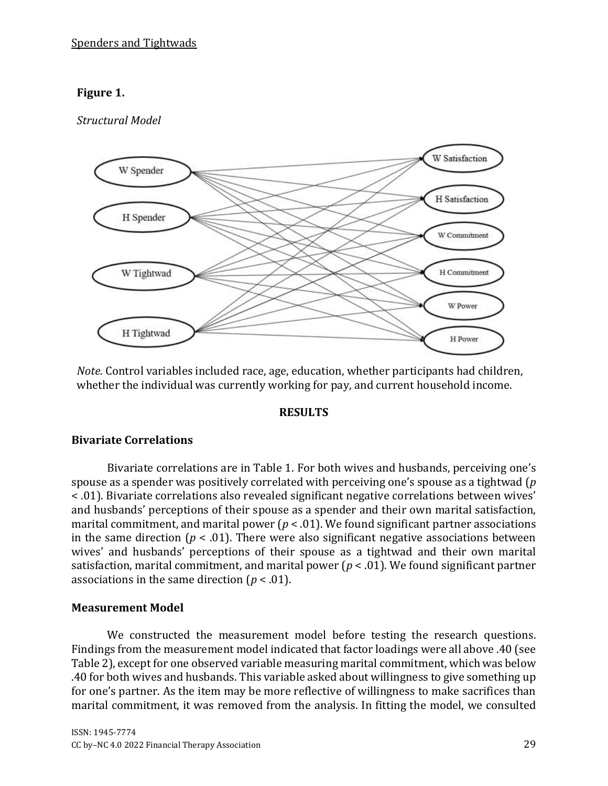## **Figure 1.**

## *Structural Model*



*Note.* Control variables included race, age, education, whether participants had children, whether the individual was currently working for pay, and current household income.

#### **RESULTS**

#### **Bivariate Correlations**

Bivariate correlations are in Table 1. For both wives and husbands, perceiving one's spouse as a spender was positively correlated with perceiving one's spouse as a tightwad (*p*  < .01). Bivariate correlations also revealed significant negative correlations between wives' and husbands' perceptions of their spouse as a spender and their own marital satisfaction, marital commitment, and marital power (*p* < .01). We found significant partner associations in the same direction ( $p < .01$ ). There were also significant negative associations between wives' and husbands' perceptions of their spouse as a tightwad and their own marital satisfaction, marital commitment, and marital power (*p* < .01). We found significant partner associations in the same direction (*p* < .01).

#### **Measurement Model**

We constructed the measurement model before testing the research questions. Findings from the measurement model indicated that factor loadings were all above .40 (see Table 2), except for one observed variable measuring marital commitment, which was below .40 for both wives and husbands. This variable asked about willingness to give something up for one's partner. As the item may be more reflective of willingness to make sacrifices than marital commitment, it was removed from the analysis. In fitting the model, we consulted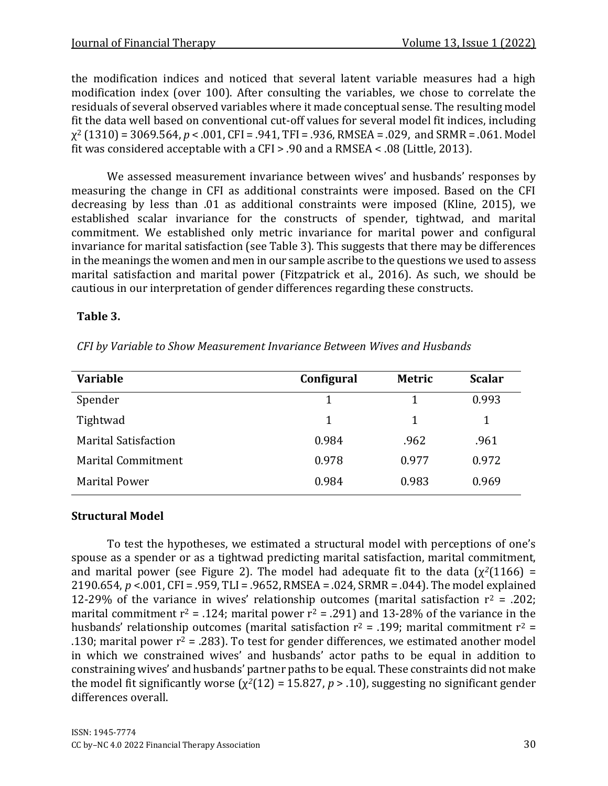the modification indices and noticed that several latent variable measures had a high modification index (over 100). After consulting the variables, we chose to correlate the residuals of several observed variables where it made conceptual sense. The resulting model fit the data well based on conventional cut-off values for several model fit indices, including χ <sup>2</sup> (1310) = 3069.564, *p* < .001, CFI = .941, TFI = .936, RMSEA = .029, and SRMR = .061. Model fit was considered acceptable with a CFI > .90 and a RMSEA < .08 (Little, 2013).

We assessed measurement invariance between wives' and husbands' responses by measuring the change in CFI as additional constraints were imposed. Based on the CFI decreasing by less than .01 as additional constraints were imposed (Kline, 2015), we established scalar invariance for the constructs of spender, tightwad, and marital commitment. We established only metric invariance for marital power and configural invariance for marital satisfaction (see Table 3). This suggests that there may be differences in the meanings the women and men in our sample ascribe to the questions we used to assess marital satisfaction and marital power (Fitzpatrick et al., 2016). As such, we should be cautious in our interpretation of gender differences regarding these constructs.

## **Table 3.**

|  | CFI by Variable to Show Measurement Invariance Between Wives and Husbands |  |  |  |
|--|---------------------------------------------------------------------------|--|--|--|
|--|---------------------------------------------------------------------------|--|--|--|

| <b>Variable</b>             | Configural | <b>Metric</b> | <b>Scalar</b> |
|-----------------------------|------------|---------------|---------------|
| Spender                     |            |               | 0.993         |
| Tightwad                    | 1          |               | 1             |
| <b>Marital Satisfaction</b> | 0.984      | .962          | .961          |
| <b>Marital Commitment</b>   | 0.978      | 0.977         | 0.972         |
| <b>Marital Power</b>        | 0.984      | 0.983         | 0.969         |

#### **Structural Model**

To test the hypotheses, we estimated a structural model with perceptions of one's spouse as a spender or as a tightwad predicting marital satisfaction, marital commitment, and marital power (see Figure 2). The model had adequate fit to the data  $(\chi^2(1166))$  = 2190.654, *p* <.001, CFI = .959, TLI = .9652, RMSEA = .024, SRMR = .044). The model explained 12-29% of the variance in wives' relationship outcomes (marital satisfaction  $r^2$  = .202; marital commitment  $r^2$  = .124; marital power  $r^2$  = .291) and 13-28% of the variance in the husbands' relationship outcomes (marital satisfaction  $r^2$  = .199; marital commitment  $r^2$  = .130; marital power  $r^2$  = .283). To test for gender differences, we estimated another model in which we constrained wives' and husbands' actor paths to be equal in addition to constraining wives' and husbands' partner paths to be equal. These constraints did not make the model fit significantly worse (χ*2*(12) = 15.827, *p* > .10), suggesting no significant gender differences overall.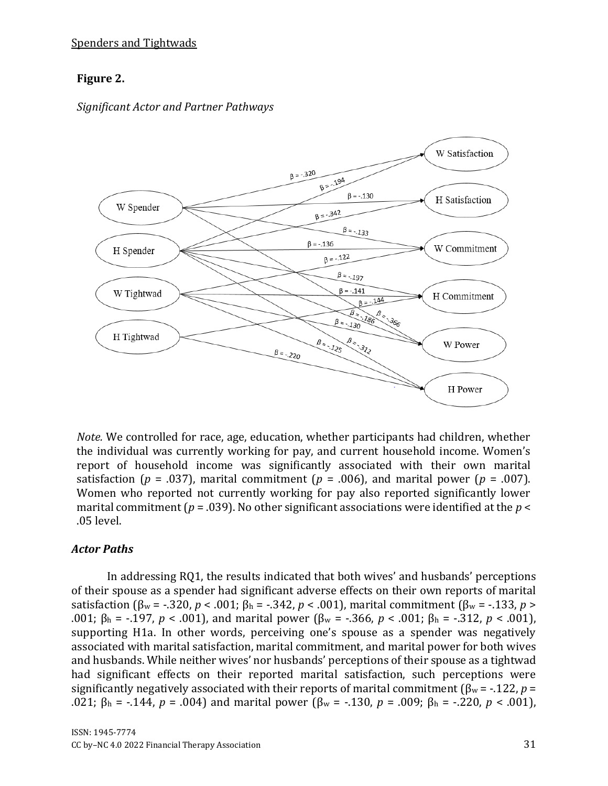## **Figure 2.**

#### *Significant Actor and Partner Pathways*



*Note.* We controlled for race, age, education, whether participants had children, whether the individual was currently working for pay, and current household income. Women's report of household income was significantly associated with their own marital satisfaction ( $p = .037$ ), marital commitment ( $p = .006$ ), and marital power ( $p = .007$ ). Women who reported not currently working for pay also reported significantly lower marital commitment (*p* = .039). No other significant associations were identified at the *p* < .05 level.

#### *Actor Paths*

In addressing RQ1, the results indicated that both wives' and husbands' perceptions of their spouse as a spender had significant adverse effects on their own reports of marital satisfaction (β<sup>w</sup> = -.320, *p* < .001; β<sup>h</sup> = -.342, *p* < .001), marital commitment (β<sup>w</sup> = -.133, *p* > .001; β<sup>h</sup> = -.197, *p* < .001), and marital power (β<sup>w</sup> = -.366, *p* < .001; β<sup>h</sup> = -.312, *p* < .001), supporting H1a. In other words, perceiving one's spouse as a spender was negatively associated with marital satisfaction, marital commitment, and marital power for both wives and husbands. While neither wives' nor husbands' perceptions of their spouse as a tightwad had significant effects on their reported marital satisfaction, such perceptions were significantly negatively associated with their reports of marital commitment (β<sup>w</sup> = -.122, *p* = .021; β<sub>h</sub> = -.144, *p* = .004) and marital power (β<sub>w</sub> = -.130, *p* = .009; β<sub>h</sub> = -.220, *p* < .001),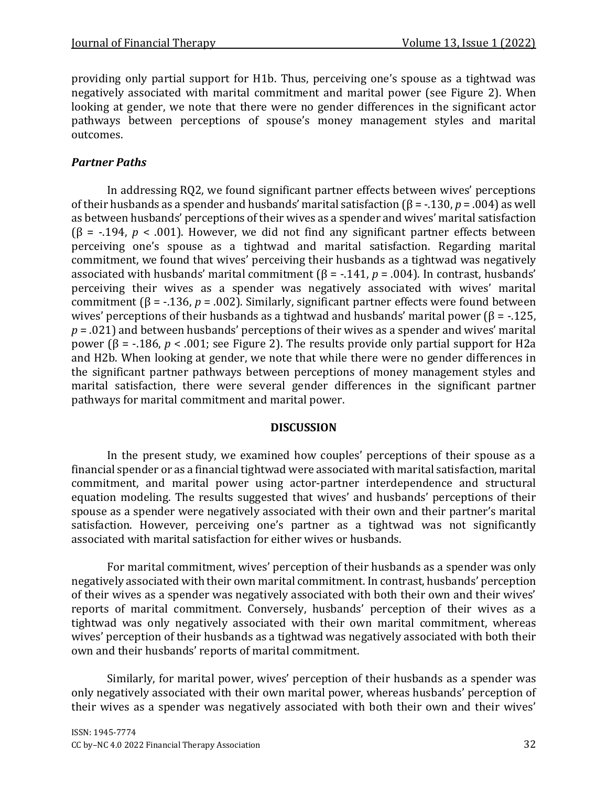providing only partial support for H1b. Thus, perceiving one's spouse as a tightwad was negatively associated with marital commitment and marital power (see Figure 2). When looking at gender, we note that there were no gender differences in the significant actor pathways between perceptions of spouse's money management styles and marital outcomes.

## *Partner Paths*

In addressing RQ2, we found significant partner effects between wives' perceptions of their husbands as a spender and husbands' marital satisfaction (β = -.130, *p* = .004) as well as between husbands' perceptions of their wives as a spender and wives' marital satisfaction  $(\beta = -194, p < .001)$ . However, we did not find any significant partner effects between perceiving one's spouse as a tightwad and marital satisfaction. Regarding marital commitment, we found that wives' perceiving their husbands as a tightwad was negatively associated with husbands' marital commitment (β = -.141, *p* = .004). In contrast, husbands' perceiving their wives as a spender was negatively associated with wives' marital commitment (β = -.136, *p* = .002). Similarly, significant partner effects were found between wives' perceptions of their husbands as a tightwad and husbands' marital power ( $\beta$  = -.125,  $p = .021$  and between husbands' perceptions of their wives as a spender and wives' marital power (β =  $-186$ , *p* < .001; see Figure 2). The results provide only partial support for H2a and H2b. When looking at gender, we note that while there were no gender differences in the significant partner pathways between perceptions of money management styles and marital satisfaction, there were several gender differences in the significant partner pathways for marital commitment and marital power.

#### **DISCUSSION**

In the present study, we examined how couples' perceptions of their spouse as a financial spender or as a financial tightwad were associated with marital satisfaction, marital commitment, and marital power using actor-partner interdependence and structural equation modeling. The results suggested that wives' and husbands' perceptions of their spouse as a spender were negatively associated with their own and their partner's marital satisfaction. However, perceiving one's partner as a tightwad was not significantly associated with marital satisfaction for either wives or husbands.

For marital commitment, wives' perception of their husbands as a spender was only negatively associated with their own marital commitment. In contrast, husbands' perception of their wives as a spender was negatively associated with both their own and their wives' reports of marital commitment. Conversely, husbands' perception of their wives as a tightwad was only negatively associated with their own marital commitment, whereas wives' perception of their husbands as a tightwad was negatively associated with both their own and their husbands' reports of marital commitment.

Similarly, for marital power, wives' perception of their husbands as a spender was only negatively associated with their own marital power, whereas husbands' perception of their wives as a spender was negatively associated with both their own and their wives'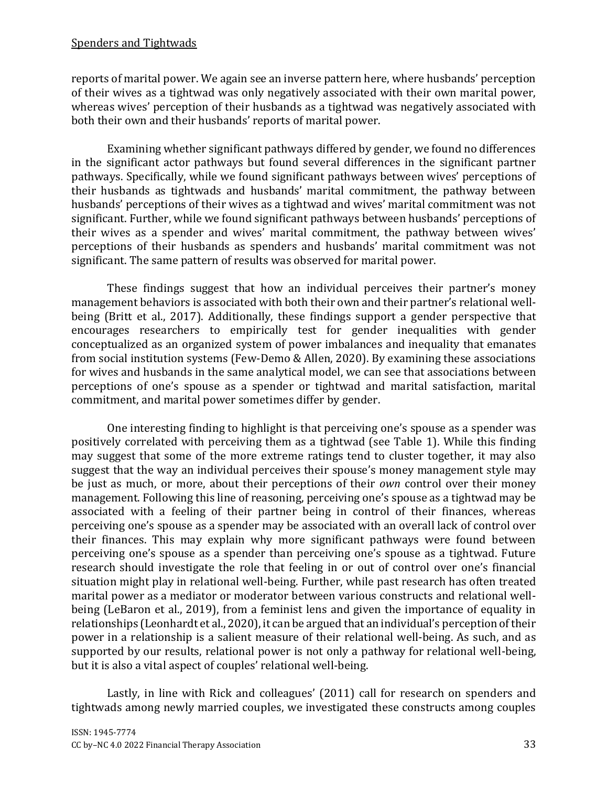reports of marital power. We again see an inverse pattern here, where husbands' perception of their wives as a tightwad was only negatively associated with their own marital power, whereas wives' perception of their husbands as a tightwad was negatively associated with both their own and their husbands' reports of marital power.

Examining whether significant pathways differed by gender, we found no differences in the significant actor pathways but found several differences in the significant partner pathways. Specifically, while we found significant pathways between wives' perceptions of their husbands as tightwads and husbands' marital commitment, the pathway between husbands' perceptions of their wives as a tightwad and wives' marital commitment was not significant. Further, while we found significant pathways between husbands' perceptions of their wives as a spender and wives' marital commitment, the pathway between wives' perceptions of their husbands as spenders and husbands' marital commitment was not significant. The same pattern of results was observed for marital power.

These findings suggest that how an individual perceives their partner's money management behaviors is associated with both their own and their partner's relational wellbeing (Britt et al., 2017). Additionally, these findings support a gender perspective that encourages researchers to empirically test for gender inequalities with gender conceptualized as an organized system of power imbalances and inequality that emanates from social institution systems (Few-Demo & Allen, 2020). By examining these associations for wives and husbands in the same analytical model, we can see that associations between perceptions of one's spouse as a spender or tightwad and marital satisfaction, marital commitment, and marital power sometimes differ by gender.

One interesting finding to highlight is that perceiving one's spouse as a spender was positively correlated with perceiving them as a tightwad (see Table 1). While this finding may suggest that some of the more extreme ratings tend to cluster together, it may also suggest that the way an individual perceives their spouse's money management style may be just as much, or more, about their perceptions of their *own* control over their money management. Following this line of reasoning, perceiving one's spouse as a tightwad may be associated with a feeling of their partner being in control of their finances, whereas perceiving one's spouse as a spender may be associated with an overall lack of control over their finances. This may explain why more significant pathways were found between perceiving one's spouse as a spender than perceiving one's spouse as a tightwad. Future research should investigate the role that feeling in or out of control over one's financial situation might play in relational well-being. Further, while past research has often treated marital power as a mediator or moderator between various constructs and relational wellbeing (LeBaron et al., 2019), from a feminist lens and given the importance of equality in relationships (Leonhardt et al., 2020), it can be argued that an individual's perception of their power in a relationship is a salient measure of their relational well-being. As such, and as supported by our results, relational power is not only a pathway for relational well-being, but it is also a vital aspect of couples' relational well-being.

Lastly, in line with Rick and colleagues' (2011) call for research on spenders and tightwads among newly married couples, we investigated these constructs among couples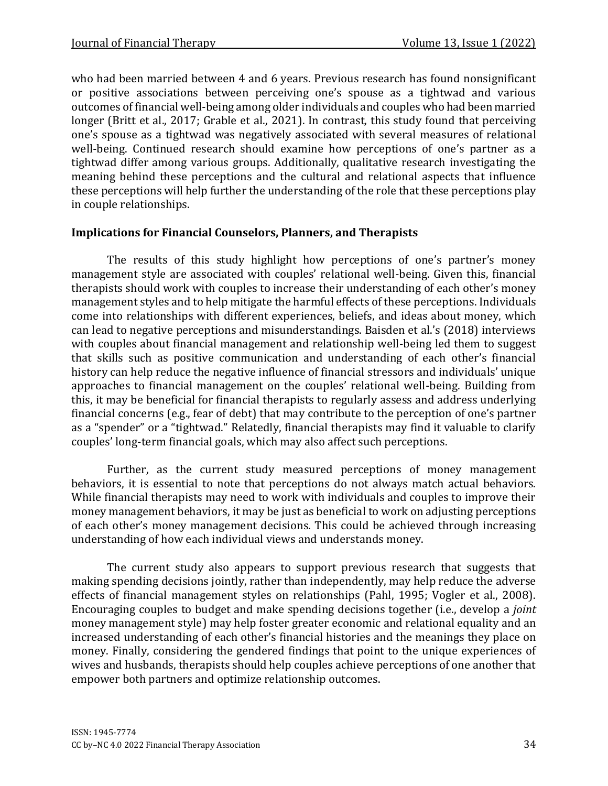who had been married between 4 and 6 years. Previous research has found nonsignificant or positive associations between perceiving one's spouse as a tightwad and various outcomes of financial well-being among older individuals and couples who had been married longer (Britt et al., 2017; Grable et al., 2021). In contrast, this study found that perceiving one's spouse as a tightwad was negatively associated with several measures of relational well-being. Continued research should examine how perceptions of one's partner as a tightwad differ among various groups. Additionally, qualitative research investigating the meaning behind these perceptions and the cultural and relational aspects that influence these perceptions will help further the understanding of the role that these perceptions play in couple relationships.

#### **Implications for Financial Counselors, Planners, and Therapists**

The results of this study highlight how perceptions of one's partner's money management style are associated with couples' relational well-being. Given this, financial therapists should work with couples to increase their understanding of each other's money management styles and to help mitigate the harmful effects of these perceptions. Individuals come into relationships with different experiences, beliefs, and ideas about money, which can lead to negative perceptions and misunderstandings. Baisden et al.'s (2018) interviews with couples about financial management and relationship well-being led them to suggest that skills such as positive communication and understanding of each other's financial history can help reduce the negative influence of financial stressors and individuals' unique approaches to financial management on the couples' relational well-being. Building from this, it may be beneficial for financial therapists to regularly assess and address underlying financial concerns (e.g., fear of debt) that may contribute to the perception of one's partner as a "spender" or a "tightwad." Relatedly, financial therapists may find it valuable to clarify couples' long-term financial goals, which may also affect such perceptions.

Further, as the current study measured perceptions of money management behaviors, it is essential to note that perceptions do not always match actual behaviors. While financial therapists may need to work with individuals and couples to improve their money management behaviors, it may be just as beneficial to work on adjusting perceptions of each other's money management decisions. This could be achieved through increasing understanding of how each individual views and understands money.

The current study also appears to support previous research that suggests that making spending decisions jointly, rather than independently, may help reduce the adverse effects of financial management styles on relationships (Pahl, 1995; Vogler et al., 2008). Encouraging couples to budget and make spending decisions together (i.e., develop a *joint* money management style) may help foster greater economic and relational equality and an increased understanding of each other's financial histories and the meanings they place on money. Finally, considering the gendered findings that point to the unique experiences of wives and husbands, therapists should help couples achieve perceptions of one another that empower both partners and optimize relationship outcomes.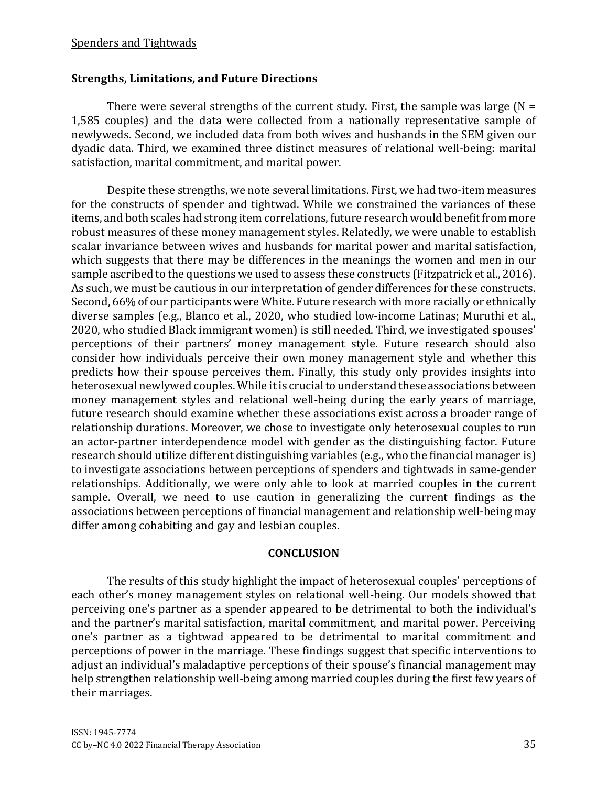## **Strengths, Limitations, and Future Directions**

There were several strengths of the current study. First, the sample was large  $(N =$ 1,585 couples) and the data were collected from a nationally representative sample of newlyweds. Second, we included data from both wives and husbands in the SEM given our dyadic data. Third, we examined three distinct measures of relational well-being: marital satisfaction, marital commitment, and marital power.

Despite these strengths, we note several limitations. First, we had two-item measures for the constructs of spender and tightwad. While we constrained the variances of these items, and both scales had strong item correlations, future research would benefit from more robust measures of these money management styles. Relatedly, we were unable to establish scalar invariance between wives and husbands for marital power and marital satisfaction, which suggests that there may be differences in the meanings the women and men in our sample ascribed to the questions we used to assess these constructs (Fitzpatrick et al., 2016). As such, we must be cautious in our interpretation of gender differences for these constructs. Second, 66% of our participants were White. Future research with more racially or ethnically diverse samples (e.g., Blanco et al., 2020, who studied low-income Latinas; Muruthi et al., 2020, who studied Black immigrant women) is still needed. Third, we investigated spouses' perceptions of their partners' money management style. Future research should also consider how individuals perceive their own money management style and whether this predicts how their spouse perceives them. Finally, this study only provides insights into heterosexual newlywed couples. While it is crucial to understand these associations between money management styles and relational well-being during the early years of marriage, future research should examine whether these associations exist across a broader range of relationship durations. Moreover, we chose to investigate only heterosexual couples to run an actor-partner interdependence model with gender as the distinguishing factor. Future research should utilize different distinguishing variables (e.g., who the financial manager is) to investigate associations between perceptions of spenders and tightwads in same-gender relationships. Additionally, we were only able to look at married couples in the current sample. Overall, we need to use caution in generalizing the current findings as the associations between perceptions of financial management and relationship well-being may differ among cohabiting and gay and lesbian couples.

#### **CONCLUSION**

The results of this study highlight the impact of heterosexual couples' perceptions of each other's money management styles on relational well-being. Our models showed that perceiving one's partner as a spender appeared to be detrimental to both the individual's and the partner's marital satisfaction, marital commitment, and marital power. Perceiving one's partner as a tightwad appeared to be detrimental to marital commitment and perceptions of power in the marriage. These findings suggest that specific interventions to adjust an individual's maladaptive perceptions of their spouse's financial management may help strengthen relationship well-being among married couples during the first few years of their marriages.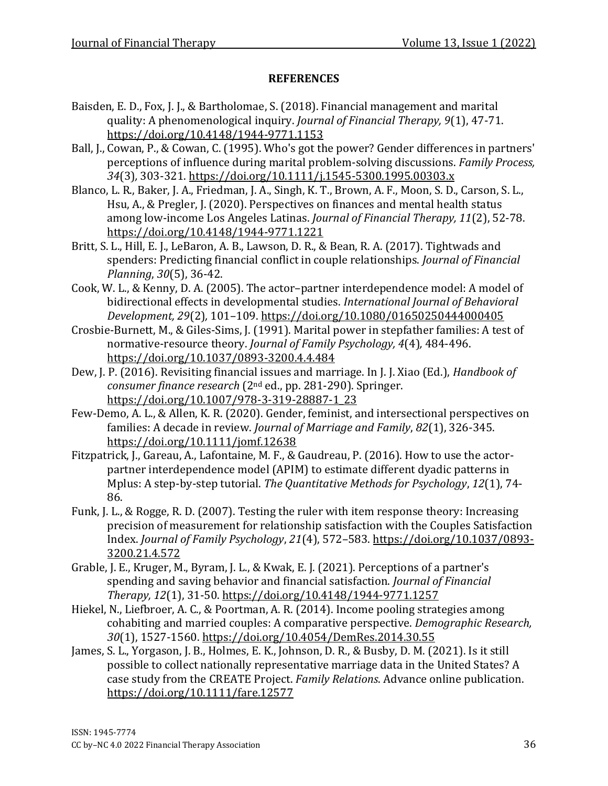#### **REFERENCES**

- Baisden, E. D., Fox, J. J., & Bartholomae, S. (2018). Financial management and marital quality: A phenomenological inquiry. *Journal of Financial Therapy, 9*(1), 47-71. <https://doi.org/10.4148/1944-9771.1153>
- Ball, J., Cowan, P., & Cowan, C. (1995). Who's got the power? Gender differences in partners' perceptions of influence during marital problem-solving discussions. *Family Process, 34*(3)*,* 303-321.<https://doi.org/10.1111/j.1545-5300.1995.00303.x>
- Blanco, L. R., Baker, J. A., Friedman, J. A., Singh, K. T., Brown, A. F., Moon, S. D., Carson, S. L., Hsu, A., & Pregler, J. (2020). Perspectives on finances and mental health status among low-income Los Angeles Latinas. *Journal of Financial Therapy, 11*(2), 52-78. <https://doi.org/10.4148/1944-9771.1221>
- Britt, S. L., Hill, E. J., LeBaron, A. B., Lawson, D. R., & Bean, R. A. (2017). Tightwads and spenders: Predicting financial conflict in couple relationships. *Journal of Financial Planning*, *30*(5), 36-42.
- Cook, W. L., & Kenny, D. A. (2005). The actor–partner interdependence model: A model of bidirectional effects in developmental studies. *International Journal of Behavioral Development, 29*(2)*,* 101–109.<https://doi.org/10.1080/01650250444000405>
- Crosbie-Burnett, M., & Giles-Sims, J. (1991). Marital power in stepfather families: A test of normative-resource theory. *Journal of Family Psychology, 4*(4)*,* 484-496. <https://doi.org/10.1037/0893-3200.4.4.484>
- Dew, J. P. (2016). Revisiting financial issues and marriage. In J. J. Xiao (Ed.), *Handbook of consumer finance research* (2nd ed., pp. 281-290). Springer. [https://doi.org/10.1007/978-3-319-28887-1\\_23](https://doi.org/10.1007/978-3-319-28887-1_23)
- Few-Demo, A. L., & Allen, K. R. (2020). Gender, feminist, and intersectional perspectives on families: A decade in review. *Journal of Marriage and Family*, *82*(1), 326-345. <https://doi.org/10.1111/jomf.12638>
- Fitzpatrick, J., Gareau, A., Lafontaine, M. F., & Gaudreau, P. (2016). How to use the actorpartner interdependence model (APIM) to estimate different dyadic patterns in Mplus: A step-by-step tutorial. *The Quantitative Methods for Psychology*, *12*(1), 74- 86.
- Funk, J. L., & Rogge, R. D. (2007). Testing the ruler with item response theory: Increasing precision of measurement for relationship satisfaction with the Couples Satisfaction Index. *Journal of Family Psychology*, *21*(4), 572–583. [https://doi.org/10.1037/0893-](https://doi.org/10.1037/0893-3200.21.4.572) [3200.21.4.572](https://doi.org/10.1037/0893-3200.21.4.572)
- Grable, J. E., Kruger, M., Byram, J. L., & Kwak, E. J. (2021). Perceptions of a partner's spending and saving behavior and financial satisfaction. *Journal of Financial Therapy, 12*(1), 31-50.<https://doi.org/10.4148/1944-9771.1257>
- Hiekel, N., Liefbroer, A. C., & Poortman, A. R. (2014). Income pooling strategies among cohabiting and married couples: A comparative perspective. *Demographic Research, 30*(1), 1527-1560.<https://doi.org/10.4054/DemRes.2014.30.55>
- James, S. L., Yorgason, J. B., Holmes, E. K., Johnson, D. R., & Busby, D. M. (2021). Is it still possible to collect nationally representative marriage data in the United States? A case study from the CREATE Project. *Family Relations*. Advance online publication. <https://doi.org/10.1111/fare.12577>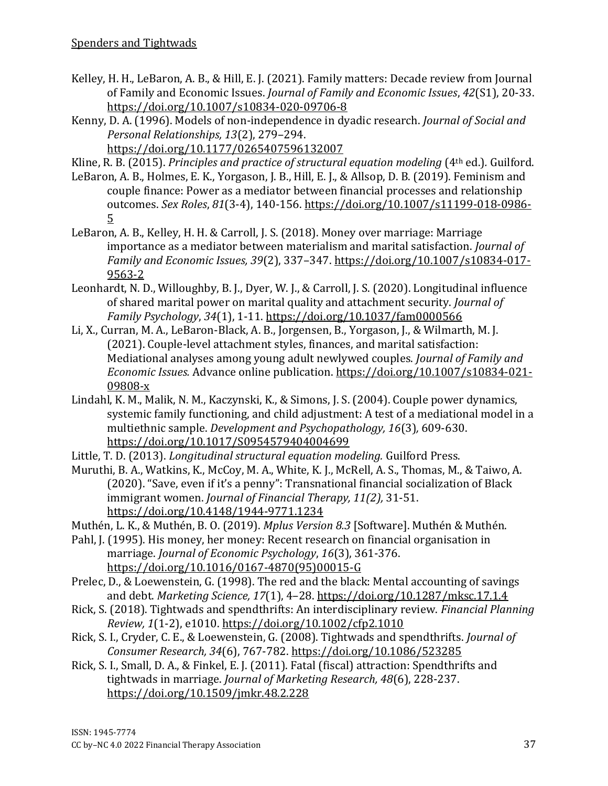- Kelley, H. H., LeBaron, A. B., & Hill, E. J. (2021). Family matters: Decade review from Journal of Family and Economic Issues. *Journal of Family and Economic Issues*, *42*(S1), 20-33. <https://doi.org/10.1007/s10834-020-09706-8>
- Kenny, D. A. (1996). Models of non-independence in dyadic research. *Journal of Social and Personal Relationships, 13*(2), 279–294. <https://doi.org/10.1177/0265407596132007>

Kline, R. B. (2015). *Principles and practice of structural equation modeling* (4th ed.)*.* Guilford.

- LeBaron, A. B., Holmes, E. K., Yorgason, J. B., Hill, E. J., & Allsop, D. B. (2019). Feminism and couple finance: Power as a mediator between financial processes and relationship outcomes. *Sex Roles*, *81*(3-4), 140-156. [https://doi.org/10.1007/s11199-018-0986-](https://doi.org/10.1007/s11199-018-0986-5) [5](https://doi.org/10.1007/s11199-018-0986-5)
- LeBaron, A. B., Kelley, H. H. & Carroll, J. S. (2018). Money over marriage: Marriage importance as a mediator between materialism and marital satisfaction. *Journal of Family and Economic Issues, 39*(2), 337–347. [https://doi.org/10.1007/s10834-017-](https://doi.org/10.1007/s10834-017-9563-2) [9563-2](https://doi.org/10.1007/s10834-017-9563-2)
- Leonhardt, N. D., Willoughby, B. J., Dyer, W. J., & Carroll, J. S. (2020). Longitudinal influence of shared marital power on marital quality and attachment security. *Journal of Family Psychology*, *34*(1), 1-11.<https://doi.org/10.1037/fam0000566>
- Li, X., Curran, M. A., LeBaron-Black, A. B., Jorgensen, B., Yorgason, J., & Wilmarth, M. J. (2021). Couple-level attachment styles, finances, and marital satisfaction: Mediational analyses among young adult newlywed couples. *Journal of Family and Economic Issues.* Advance online publication. [https://doi.org/10.1007/s10834-021-](https://doi.org/10.1007/s10834-021-09808-x) [09808-x](https://doi.org/10.1007/s10834-021-09808-x)
- Lindahl, K. M., Malik, N. M., Kaczynski, K., & Simons, J. S. (2004). Couple power dynamics, systemic family functioning, and child adjustment: A test of a mediational model in a multiethnic sample. *Development and Psychopathology, 16*(3)*,* 609-630. <https://doi.org/10.1017/S0954579404004699>
- Little, T. D. (2013). *Longitudinal structural equation modeling.* Guilford Press.
- Muruthi, B. A., Watkins, K., McCoy, M. A., White, K. J., McRell, A. S., Thomas, M., & Taiwo, A. (2020). "Save, even if it's a penny": Transnational financial socialization of Black immigrant women. *Journal of Financial Therapy, 11(2),* 31-51. <https://doi.org/10.4148/1944-9771.1234>
- Muthén, L. K., & Muthén, B. O. (2019). *Mplus Version 8.3* [Software]. Muthén & Muthén.
- Pahl, J. (1995). His money, her money: Recent research on financial organisation in marriage. *Journal of Economic Psychology*, *16*(3), 361-376. [https://doi.org/10.1016/0167-4870\(95\)00015-G](https://doi.org/10.1016/0167-4870(95)00015-G)
- Prelec, D., & Loewenstein, G. (1998). The red and the black: Mental accounting of savings and debt. *Marketing Science, 17*(1), 4–28.<https://doi.org/10.1287/mksc.17.1.4>
- Rick, S. (2018). Tightwads and spendthrifts: An interdisciplinary review. *Financial Planning Review, 1*(1-2), e1010.<https://doi.org/10.1002/cfp2.1010>
- Rick, S. I., Cryder, C. E., & Loewenstein, G. (2008). Tightwads and spendthrifts. *Journal of Consumer Research, 34*(6), 767-782.<https://doi.org/10.1086/523285>
- Rick, S. I., Small, D. A., & Finkel, E. J. (2011). Fatal (fiscal) attraction: Spendthrifts and tightwads in marriage. *Journal of Marketing Research, 48*(6), 228-237. <https://doi.org/10.1509/jmkr.48.2.228>